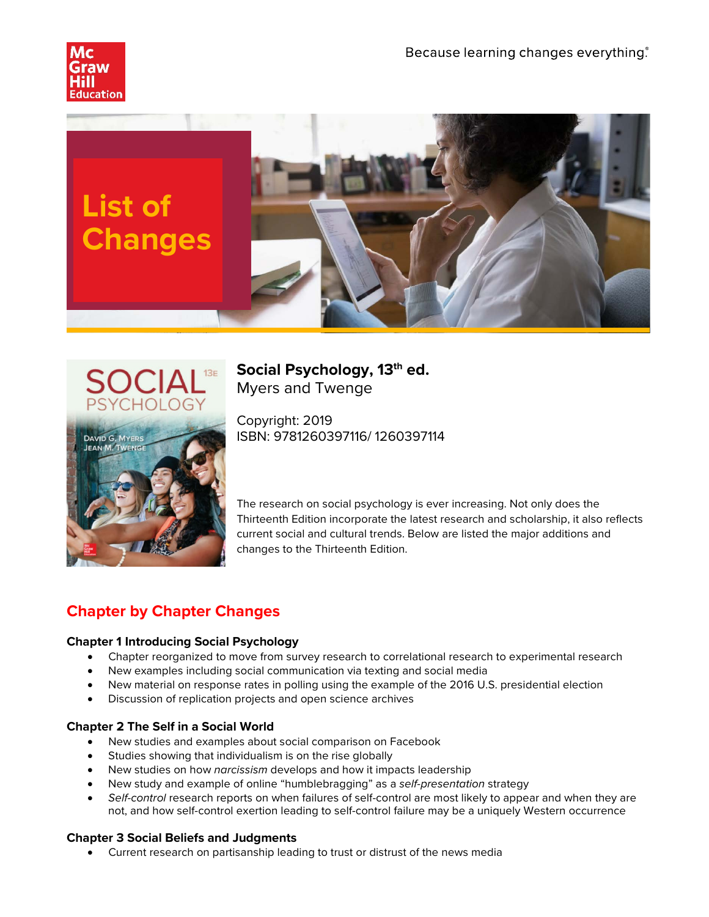





**Social Psychology, 13th ed.** Myers and Twenge

Copyright: 2019 ISBN: 9781260397116/ 1260397114

The research on social psychology is ever increasing. Not only does the Thirteenth Edition incorporate the latest research and scholarship, it also reflects current social and cultural trends. Below are listed the major additions and changes to the Thirteenth Edition.

# **Chapter by Chapter Changes**

# **Chapter 1 Introducing Social Psychology**

- Chapter reorganized to move from survey research to correlational research to experimental research
- New examples including social communication via texting and social media
- New material on response rates in polling using the example of the 2016 U.S. presidential election
- Discussion of replication projects and open science archives

### **Chapter 2 The Self in a Social World**

- New studies and examples about social comparison on Facebook
- Studies showing that individualism is on the rise globally
- New studies on how *narcissism* develops and how it impacts leadership
- New study and example of online "humblebragging" as a *self-presentation* strategy
- *Self-control* research reports on when failures of self-control are most likely to appear and when they are not, and how self-control exertion leading to self-control failure may be a uniquely Western occurrence

### **Chapter 3 Social Beliefs and Judgments**

• Current research on partisanship leading to trust or distrust of the news media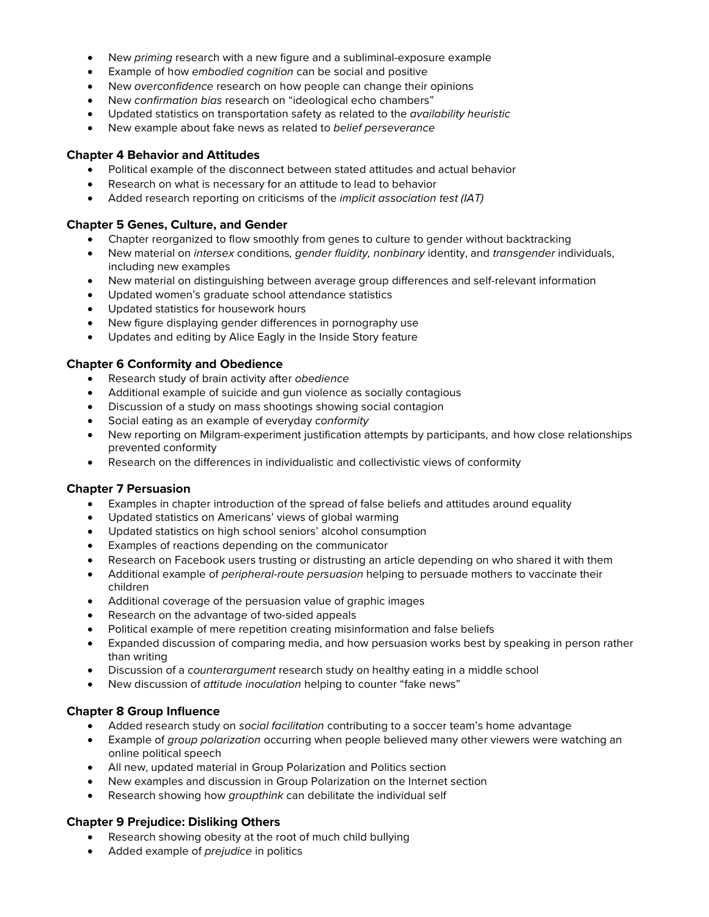- New *priming* research with a new figure and a subliminal-exposure example
- Example of how *embodied cognition* can be social and positive
- New *overconfidence* research on how people can change their opinions
- New *confirmation bias* research on "ideological echo chambers"
- Updated statistics on transportation safety as related to the *availability heuristic*
- New example about fake news as related to *belief perseverance*

#### **Chapter 4 Behavior and Attitudes**

- Political example of the disconnect between stated attitudes and actual behavior
- Research on what is necessary for an attitude to lead to behavior
- Added research reporting on criticisms of the *implicit association test (IAT)*

#### **Chapter 5 Genes, Culture, and Gender**

- Chapter reorganized to flow smoothly from genes to culture to gender without backtracking
- New material on *intersex* conditions*, gender fluidity, nonbinary* identity, and *transgender* individuals, including new examples
- New material on distinguishing between average group differences and self-relevant information
- Updated women's graduate school attendance statistics
- Updated statistics for housework hours
- New figure displaying gender differences in pornography use
- Updates and editing by Alice Eagly in the Inside Story feature

#### **Chapter 6 Conformity and Obedience**

- Research study of brain activity after *obedience*
- Additional example of suicide and gun violence as socially contagious
- Discussion of a study on mass shootings showing social contagion
- Social eating as an example of everyday *conformity*
- New reporting on Milgram-experiment justification attempts by participants, and how close relationships prevented conformity
- Research on the differences in individualistic and collectivistic views of conformity

### **Chapter 7 Persuasion**

- Examples in chapter introduction of the spread of false beliefs and attitudes around equality
- Updated statistics on Americans' views of global warming
- Updated statistics on high school seniors' alcohol consumption
- Examples of reactions depending on the communicator
- Research on Facebook users trusting or distrusting an article depending on who shared it with them
- Additional example of *peripheral-route persuasion* helping to persuade mothers to vaccinate their children
- Additional coverage of the persuasion value of graphic images
- Research on the advantage of two-sided appeals
- Political example of mere repetition creating misinformation and false beliefs
- Expanded discussion of comparing media, and how persuasion works best by speaking in person rather than writing
- Discussion of a *counterargument* research study on healthy eating in a middle school
- New discussion of *attitude inoculation* helping to counter "fake news"

### **Chapter 8 Group Influence**

- Added research study on *social facilitation* contributing to a soccer team's home advantage
- Example of *group polarization* occurring when people believed many other viewers were watching an online political speech
- All new, updated material in Group Polarization and Politics section
- New examples and discussion in Group Polarization on the Internet section
- Research showing how *groupthink* can debilitate the individual self

### **Chapter 9 Prejudice: Disliking Others**

- Research showing obesity at the root of much child bullying
- Added example of *prejudice* in politics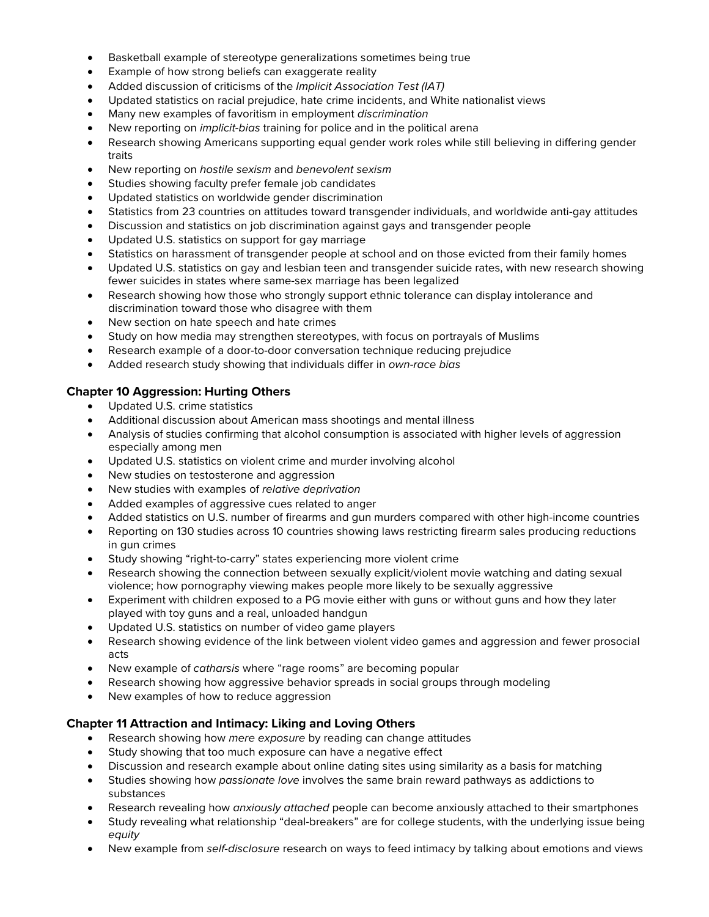- Basketball example of stereotype generalizations sometimes being true
- Example of how strong beliefs can exaggerate reality
- Added discussion of criticisms of the *Implicit Association Test (IAT)*
- Updated statistics on racial prejudice, hate crime incidents, and White nationalist views
- Many new examples of favoritism in employment *discrimination*
- New reporting on *implicit-bias* training for police and in the political arena
- Research showing Americans supporting equal gender work roles while still believing in differing gender traits
- New reporting on *hostile sexism* and *benevolent sexism*
- Studies showing faculty prefer female job candidates
- Updated statistics on worldwide gender discrimination
- Statistics from 23 countries on attitudes toward transgender individuals, and worldwide anti-gay attitudes
- Discussion and statistics on job discrimination against gays and transgender people
- Updated U.S. statistics on support for gay marriage
- Statistics on harassment of transgender people at school and on those evicted from their family homes
- Updated U.S. statistics on gay and lesbian teen and transgender suicide rates, with new research showing fewer suicides in states where same-sex marriage has been legalized
- Research showing how those who strongly support ethnic tolerance can display intolerance and discrimination toward those who disagree with them
- New section on hate speech and hate crimes
- Study on how media may strengthen stereotypes, with focus on portrayals of Muslims
- Research example of a door-to-door conversation technique reducing prejudice
- Added research study showing that individuals differ in *own-race bias*

# **Chapter 10 Aggression: Hurting Others**

- Updated U.S. crime statistics
- Additional discussion about American mass shootings and mental illness
- Analysis of studies confirming that alcohol consumption is associated with higher levels of aggression especially among men
- Updated U.S. statistics on violent crime and murder involving alcohol
- New studies on testosterone and aggression
- New studies with examples of *relative deprivation*
- Added examples of aggressive cues related to anger
- Added statistics on U.S. number of firearms and gun murders compared with other high-income countries
- Reporting on 130 studies across 10 countries showing laws restricting firearm sales producing reductions in gun crimes
- Study showing "right-to-carry" states experiencing more violent crime
- Research showing the connection between sexually explicit/violent movie watching and dating sexual violence; how pornography viewing makes people more likely to be sexually aggressive
- Experiment with children exposed to a PG movie either with guns or without guns and how they later played with toy guns and a real, unloaded handgun
- Updated U.S. statistics on number of video game players
- Research showing evidence of the link between violent video games and aggression and fewer prosocial acts
- New example of *catharsis* where "rage rooms" are becoming popular
- Research showing how aggressive behavior spreads in social groups through modeling
- New examples of how to reduce aggression

### **Chapter 11 Attraction and Intimacy: Liking and Loving Others**

- Research showing how *mere exposure* by reading can change attitudes
- Study showing that too much exposure can have a negative effect
- Discussion and research example about online dating sites using similarity as a basis for matching
- Studies showing how *passionate love* involves the same brain reward pathways as addictions to substances
- Research revealing how *anxiously attached* people can become anxiously attached to their smartphones
- Study revealing what relationship "deal-breakers" are for college students, with the underlying issue being *equity*
- New example from *self-disclosure* research on ways to feed intimacy by talking about emotions and views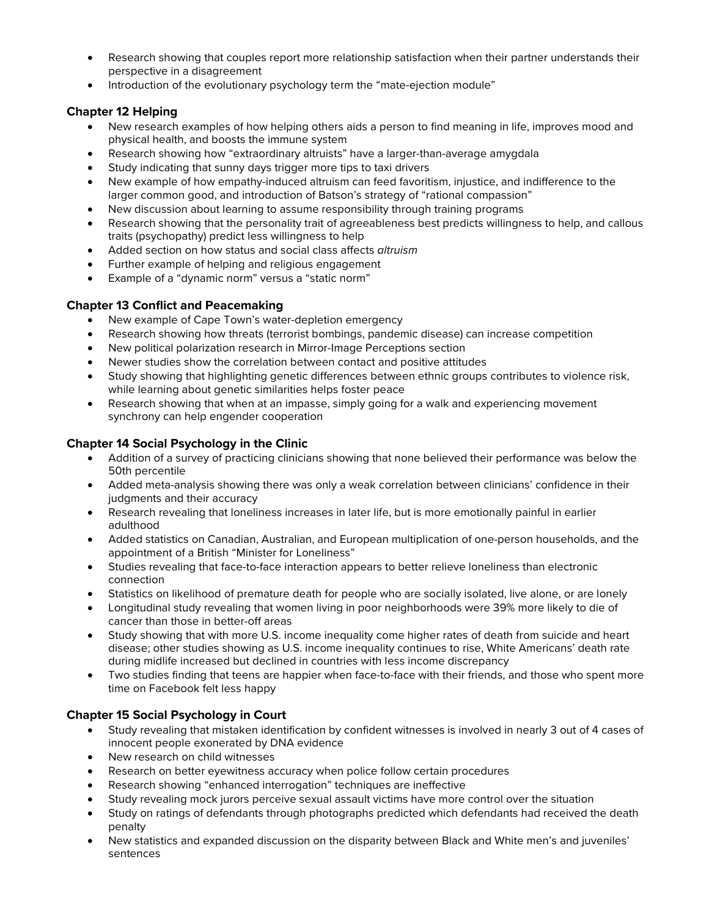- Research showing that couples report more relationship satisfaction when their partner understands their perspective in a disagreement
- Introduction of the evolutionary psychology term the "mate-ejection module"

## **Chapter 12 Helping**

- New research examples of how helping others aids a person to find meaning in life, improves mood and physical health, and boosts the immune system
- Research showing how "extraordinary altruists" have a larger-than-average amygdala
- Study indicating that sunny days trigger more tips to taxi drivers
- New example of how empathy-induced altruism can feed favoritism, injustice, and indifference to the larger common good, and introduction of Batson's strategy of "rational compassion"
- New discussion about learning to assume responsibility through training programs
- Research showing that the personality trait of agreeableness best predicts willingness to help, and callous traits (psychopathy) predict less willingness to help
- Added section on how status and social class affects *altruism*
- Further example of helping and religious engagement
- Example of a "dynamic norm" versus a "static norm"

### **Chapter 13 Conflict and Peacemaking**

- New example of Cape Town's water-depletion emergency
- Research showing how threats (terrorist bombings, pandemic disease) can increase competition
- New political polarization research in Mirror-Image Perceptions section
- Newer studies show the correlation between contact and positive attitudes
- Study showing that highlighting genetic differences between ethnic groups contributes to violence risk, while learning about genetic similarities helps foster peace
- Research showing that when at an impasse, simply going for a walk and experiencing movement synchrony can help engender cooperation

### **Chapter 14 Social Psychology in the Clinic**

- Addition of a survey of practicing clinicians showing that none believed their performance was below the 50th percentile
- Added meta-analysis showing there was only a weak correlation between clinicians' confidence in their judgments and their accuracy
- Research revealing that loneliness increases in later life, but is more emotionally painful in earlier adulthood
- Added statistics on Canadian, Australian, and European multiplication of one-person households, and the appointment of a British "Minister for Loneliness"
- Studies revealing that face-to-face interaction appears to better relieve loneliness than electronic connection
- Statistics on likelihood of premature death for people who are socially isolated, live alone, or are lonely
- Longitudinal study revealing that women living in poor neighborhoods were 39% more likely to die of cancer than those in better-off areas
- Study showing that with more U.S. income inequality come higher rates of death from suicide and heart disease; other studies showing as U.S. income inequality continues to rise, White Americans' death rate during midlife increased but declined in countries with less income discrepancy
- Two studies finding that teens are happier when face-to-face with their friends, and those who spent more time on Facebook felt less happy

### **Chapter 15 Social Psychology in Court**

- Study revealing that mistaken identification by confident witnesses is involved in nearly 3 out of 4 cases of innocent people exonerated by DNA evidence
- New research on child witnesses
- Research on better eyewitness accuracy when police follow certain procedures
- Research showing "enhanced interrogation" techniques are ineffective
- Study revealing mock jurors perceive sexual assault victims have more control over the situation
- Study on ratings of defendants through photographs predicted which defendants had received the death penalty
- New statistics and expanded discussion on the disparity between Black and White men's and juveniles' sentences